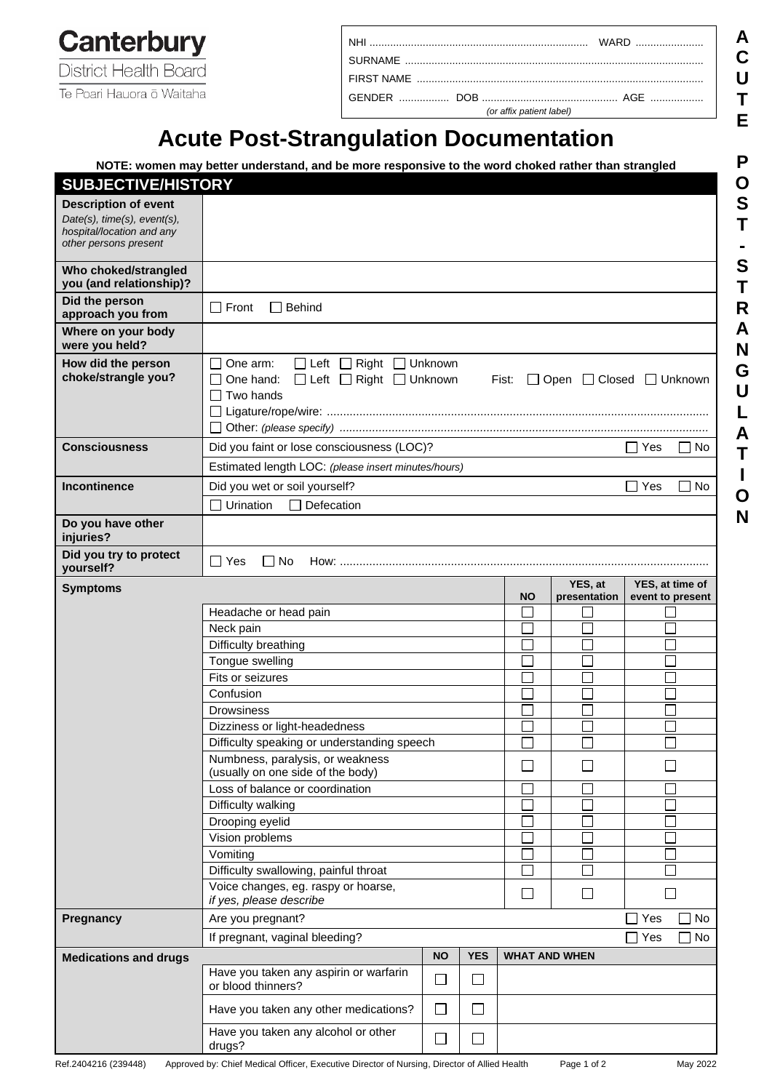**Canterbury** District Health Board

Te Poari Hauora ō Waitaha

| (or affix patient label) |  |
|--------------------------|--|

# **Acute Post-Strangulation Documentation**

|                                                                                                                  | NOTE: women may better understand, and be more responsive to the word choked rather than strangled                                                    |                             |            |                      |              |                         |  |  |
|------------------------------------------------------------------------------------------------------------------|-------------------------------------------------------------------------------------------------------------------------------------------------------|-----------------------------|------------|----------------------|--------------|-------------------------|--|--|
| <b>SUBJECTIVE/HISTORY</b>                                                                                        |                                                                                                                                                       |                             |            |                      |              |                         |  |  |
| <b>Description of event</b><br>Date(s), time(s), event(s),<br>hospital/location and any<br>other persons present |                                                                                                                                                       |                             |            |                      |              |                         |  |  |
| Who choked/strangled<br>you (and relationship)?                                                                  |                                                                                                                                                       |                             |            |                      |              |                         |  |  |
| Did the person<br>approach you from                                                                              | $\Box$ Front<br>$\Box$ Behind                                                                                                                         |                             |            |                      |              |                         |  |  |
| Where on your body<br>were you held?                                                                             |                                                                                                                                                       |                             |            |                      |              |                         |  |  |
| How did the person<br>choke/strangle you?                                                                        | Left<br>One arm:<br>Right □ Unknown<br>□ Left □ Right □ Unknown<br>One hand:<br>$\Box$ Open $\Box$ Closed $\Box$ Unknown<br>Fist:<br>$\Box$ Two hands |                             |            |                      |              |                         |  |  |
| <b>Consciousness</b>                                                                                             | Did you faint or lose consciousness (LOC)?                                                                                                            |                             |            |                      |              | $\Box$ Yes<br>∐ No      |  |  |
|                                                                                                                  | Estimated length LOC: (please insert minutes/hours)                                                                                                   |                             |            |                      |              |                         |  |  |
| <b>Incontinence</b>                                                                                              | Did you wet or soil yourself?<br>Defecation<br>Urination                                                                                              |                             |            |                      |              | Yes<br>No<br>$\Box$     |  |  |
| Do you have other                                                                                                |                                                                                                                                                       |                             |            |                      |              |                         |  |  |
| injuries?                                                                                                        |                                                                                                                                                       |                             |            |                      |              |                         |  |  |
| Did you try to protect<br>yourself?                                                                              | l IYes<br>l I No<br>$How:$                                                                                                                            |                             |            |                      |              |                         |  |  |
| <b>Symptoms</b>                                                                                                  |                                                                                                                                                       |                             |            |                      | YES, at      | YES, at time of         |  |  |
|                                                                                                                  | Headache or head pain                                                                                                                                 |                             |            | <b>NO</b>            | presentation | event to present        |  |  |
|                                                                                                                  | Neck pain                                                                                                                                             |                             |            |                      |              |                         |  |  |
|                                                                                                                  | Difficulty breathing                                                                                                                                  |                             |            |                      |              |                         |  |  |
|                                                                                                                  |                                                                                                                                                       |                             |            |                      |              |                         |  |  |
|                                                                                                                  |                                                                                                                                                       |                             |            |                      |              |                         |  |  |
|                                                                                                                  | Tongue swelling                                                                                                                                       |                             |            |                      |              |                         |  |  |
|                                                                                                                  | Fits or seizures                                                                                                                                      |                             |            |                      |              |                         |  |  |
|                                                                                                                  | Confusion<br><b>Drowsiness</b>                                                                                                                        |                             |            |                      |              |                         |  |  |
|                                                                                                                  |                                                                                                                                                       |                             |            |                      |              |                         |  |  |
|                                                                                                                  | Dizziness or light-headedness<br>Difficulty speaking or understanding speech                                                                          |                             |            |                      |              |                         |  |  |
|                                                                                                                  | Numbness, paralysis, or weakness<br>(usually on one side of the body)                                                                                 |                             |            |                      |              |                         |  |  |
|                                                                                                                  | Loss of balance or coordination                                                                                                                       |                             |            |                      |              |                         |  |  |
|                                                                                                                  | Difficulty walking                                                                                                                                    |                             |            |                      |              |                         |  |  |
|                                                                                                                  | Drooping eyelid                                                                                                                                       |                             |            |                      |              |                         |  |  |
|                                                                                                                  | Vision problems                                                                                                                                       |                             |            |                      |              |                         |  |  |
|                                                                                                                  | Vomiting                                                                                                                                              |                             |            |                      |              |                         |  |  |
|                                                                                                                  | Difficulty swallowing, painful throat                                                                                                                 |                             |            |                      |              |                         |  |  |
|                                                                                                                  | Voice changes, eg. raspy or hoarse,<br>if yes, please describe                                                                                        |                             |            | ∐                    | $\Box$       | $\blacksquare$          |  |  |
| Pregnancy                                                                                                        | Are you pregnant?                                                                                                                                     |                             |            |                      |              | $\Box$ Yes<br>$\Box$ No |  |  |
|                                                                                                                  | If pregnant, vaginal bleeding?                                                                                                                        |                             |            |                      |              | Yes<br>No               |  |  |
| <b>Medications and drugs</b>                                                                                     |                                                                                                                                                       | <b>NO</b>                   | <b>YES</b> | <b>WHAT AND WHEN</b> |              |                         |  |  |
|                                                                                                                  | Have you taken any aspirin or warfarin<br>or blood thinners?                                                                                          | $\mathcal{L}_{\mathcal{A}}$ | $\Box$     |                      |              |                         |  |  |
|                                                                                                                  | Have you taken any other medications?                                                                                                                 | $\Box$                      | $\Box$     |                      |              |                         |  |  |
|                                                                                                                  | Have you taken any alcohol or other<br>drugs?                                                                                                         | $\Box$                      | $\Box$     |                      |              |                         |  |  |